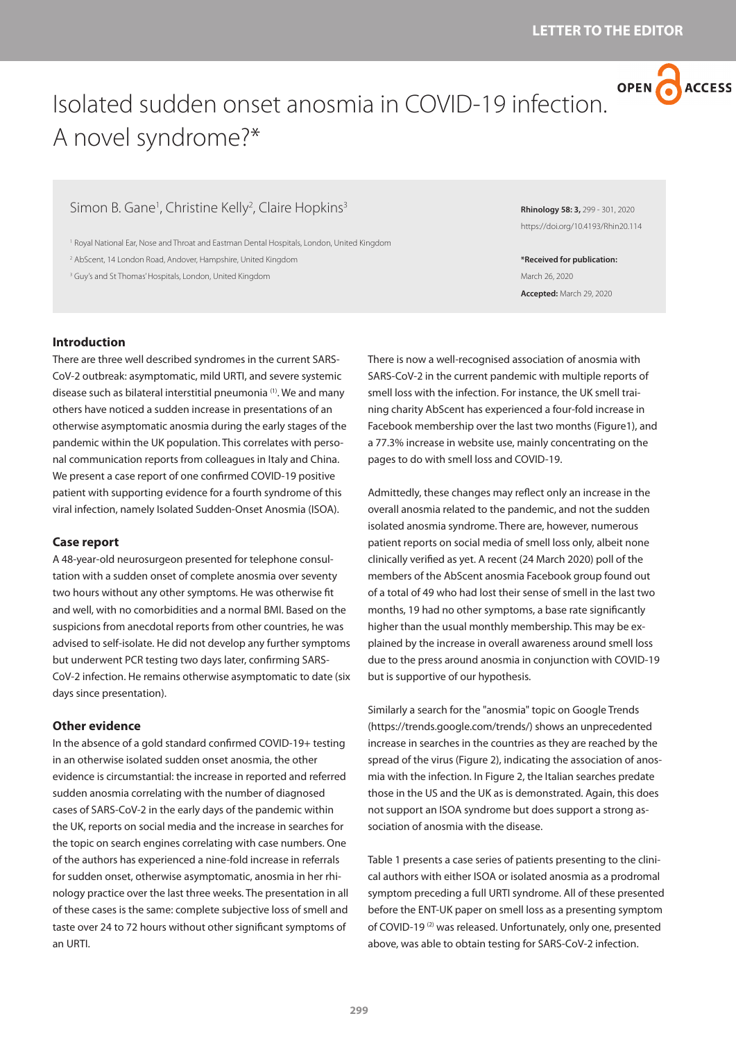

# Isolated sudden onset anosmia in COVID-19 infection. A novel syndrome?\*

# Simon B. Gane<sup>1</sup>, Christine Kelly<sup>2</sup>, Claire Hopkins<sup>3</sup>

1 Royal National Ear, Nose and Throat and Eastman Dental Hospitals, London, United Kingdom

2 AbScent, 14 London Road, Andover, Hampshire, United Kingdom

<sup>3</sup> Guy's and St Thomas' Hospitals, London, United Kingdom

**Introduction**

There are three well described syndromes in the current SARS-CoV-2 outbreak: asymptomatic, mild URTI, and severe systemic disease such as bilateral interstitial pneumonia (1). We and many others have noticed a sudden increase in presentations of an otherwise asymptomatic anosmia during the early stages of the pandemic within the UK population. This correlates with personal communication reports from colleagues in Italy and China. We present a case report of one confirmed COVID-19 positive patient with supporting evidence for a fourth syndrome of this viral infection, namely Isolated Sudden-Onset Anosmia (ISOA).

#### **Case report**

A 48-year-old neurosurgeon presented for telephone consultation with a sudden onset of complete anosmia over seventy two hours without any other symptoms. He was otherwise fit and well, with no comorbidities and a normal BMI. Based on the suspicions from anecdotal reports from other countries, he was advised to self-isolate. He did not develop any further symptoms but underwent PCR testing two days later, confirming SARS-CoV-2 infection. He remains otherwise asymptomatic to date (six days since presentation).

## **Other evidence**

In the absence of a gold standard confirmed COVID-19+ testing in an otherwise isolated sudden onset anosmia, the other evidence is circumstantial: the increase in reported and referred sudden anosmia correlating with the number of diagnosed cases of SARS-CoV-2 in the early days of the pandemic within the UK, reports on social media and the increase in searches for the topic on search engines correlating with case numbers. One of the authors has experienced a nine-fold increase in referrals for sudden onset, otherwise asymptomatic, anosmia in her rhinology practice over the last three weeks. The presentation in all of these cases is the same: complete subjective loss of smell and taste over 24 to 72 hours without other significant symptoms of an URTI.

**Rhinology 58: 3,** 299 - 301, 2020 https://doi.org/10.4193/Rhin20.114

**\*Received for publication:** March 26, 2020 **Accepted:** March 29, 2020

There is now a well-recognised association of anosmia with SARS-CoV-2 in the current pandemic with multiple reports of smell loss with the infection. For instance, the UK smell training charity AbScent has experienced a four-fold increase in Facebook membership over the last two months (Figure1), and a 77.3% increase in website use, mainly concentrating on the pages to do with smell loss and COVID-19.

Admittedly, these changes may reflect only an increase in the overall anosmia related to the pandemic, and not the sudden isolated anosmia syndrome. There are, however, numerous patient reports on social media of smell loss only, albeit none clinically verified as yet. A recent (24 March 2020) poll of the members of the AbScent anosmia Facebook group found out of a total of 49 who had lost their sense of smell in the last two months, 19 had no other symptoms, a base rate significantly higher than the usual monthly membership. This may be explained by the increase in overall awareness around smell loss due to the press around anosmia in conjunction with COVID-19 but is supportive of our hypothesis.

Similarly a search for the "anosmia" topic on Google Trends (https://trends.google.com/trends/) shows an unprecedented increase in searches in the countries as they are reached by the spread of the virus (Figure 2), indicating the association of anosmia with the infection. In Figure 2, the Italian searches predate those in the US and the UK as is demonstrated. Again, this does not support an ISOA syndrome but does support a strong association of anosmia with the disease.

Table 1 presents a case series of patients presenting to the clinical authors with either ISOA or isolated anosmia as a prodromal symptom preceding a full URTI syndrome. All of these presented before the ENT-UK paper on smell loss as a presenting symptom of COVID-19<sup>(2)</sup> was released. Unfortunately, only one, presented above, was able to obtain testing for SARS-CoV-2 infection.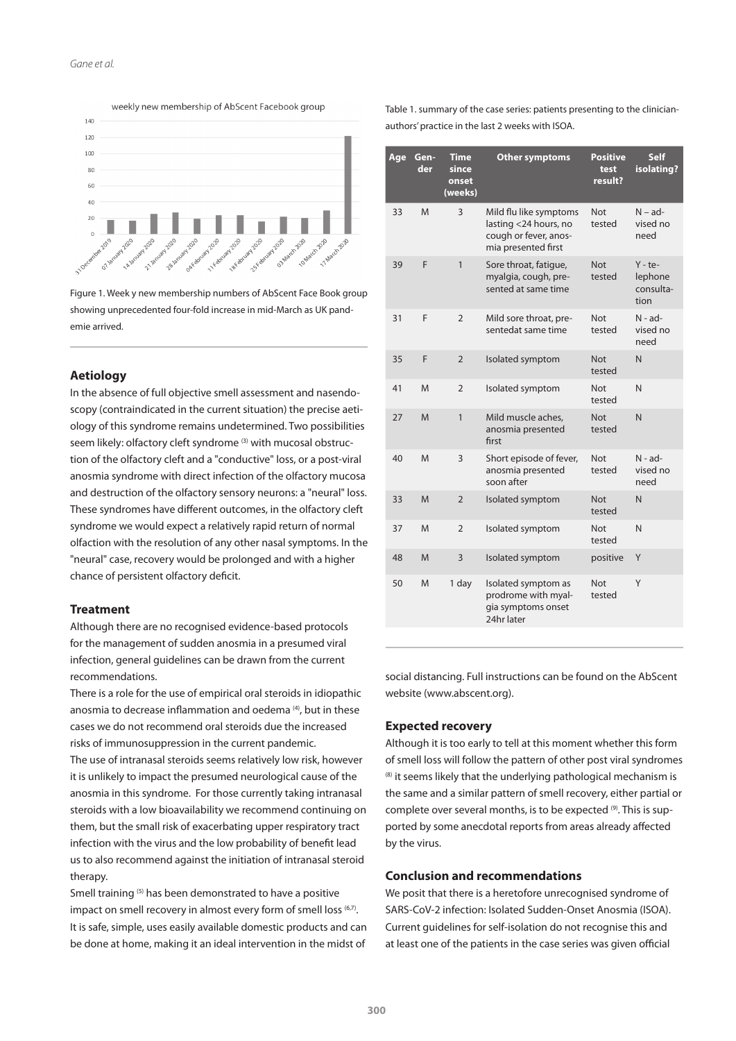#### *Gane et al.*



weekly new membership of AbScent Facebook group

Figure 1. Week y new membership numbers of AbScent Face Book group showing unprecedented four-fold increase in mid-March as UK pandemie arrived.

# **Aetiology**

In the absence of full objective smell assessment and nasendoscopy (contraindicated in the current situation) the precise aetiology of this syndrome remains undetermined. Two possibilities seem likely: olfactory cleft syndrome<sup>(3)</sup> with mucosal obstruction of the olfactory cleft and a "conductive" loss, or a post-viral anosmia syndrome with direct infection of the olfactory mucosa and destruction of the olfactory sensory neurons: a "neural" loss. These syndromes have different outcomes, in the olfactory cleft syndrome we would expect a relatively rapid return of normal olfaction with the resolution of any other nasal symptoms. In the "neural" case, recovery would be prolonged and with a higher chance of persistent olfactory deficit.

#### **Treatment**

Although there are no recognised evidence-based protocols for the management of sudden anosmia in a presumed viral infection, general guidelines can be drawn from the current recommendations.

There is a role for the use of empirical oral steroids in idiopathic anosmia to decrease inflammation and oedema<sup>(4)</sup>, but in these cases we do not recommend oral steroids due the increased risks of immunosuppression in the current pandemic. The use of intranasal steroids seems relatively low risk, however it is unlikely to impact the presumed neurological cause of the anosmia in this syndrome. For those currently taking intranasal steroids with a low bioavailability we recommend continuing on them, but the small risk of exacerbating upper respiratory tract infection with the virus and the low probability of benefit lead us to also recommend against the initiation of intranasal steroid therapy.

Smell training (5) has been demonstrated to have a positive impact on smell recovery in almost every form of smell loss (6,7). It is safe, simple, uses easily available domestic products and can be done at home, making it an ideal intervention in the midst of Table 1. summary of the case series: patients presenting to the clinicianauthors' practice in the last 2 weeks with ISOA.

| Age | Gen-<br>der | Time<br>since<br>onset<br>(weeks) | <b>Other symptoms</b>                                                                           | <b>Positive</b><br>test<br>result? | <b>Self</b><br>isolating?                 |
|-----|-------------|-----------------------------------|-------------------------------------------------------------------------------------------------|------------------------------------|-------------------------------------------|
| 33  | M           | 3                                 | Mild flu like symptoms<br>lasting <24 hours, no<br>cough or fever, anos-<br>mia presented first | <b>Not</b><br>tested               | $N - ad-$<br>vised no<br>need             |
| 39  | F           | 1                                 | Sore throat, fatique,<br>myalgia, cough, pre-<br>sented at same time                            | <b>Not</b><br>tested               | $Y - te-$<br>lephone<br>consulta-<br>tion |
| 31  | F           | $\overline{2}$                    | Mild sore throat, pre-<br>sentedat same time                                                    | <b>Not</b><br>tested               | $N - ad-$<br>vised no<br>need             |
| 35  | F           | $\overline{2}$                    | Isolated symptom                                                                                | <b>Not</b><br>tested               | N                                         |
| 41  | M           | $\overline{2}$                    | Isolated symptom                                                                                | Not<br>tested                      | N                                         |
| 27  | M           | 1                                 | Mild muscle aches.<br>anosmia presented<br>first                                                | <b>Not</b><br>tested               | N                                         |
| 40  | M           | 3                                 | Short episode of fever,<br>anosmia presented<br>soon after                                      | <b>Not</b><br>tested               | $N - ad-$<br>vised no<br>need             |
| 33  | M           | $\overline{2}$                    | Isolated symptom                                                                                | <b>Not</b><br>tested               | N                                         |
| 37  | M           | $\overline{2}$                    | Isolated symptom                                                                                | <b>Not</b><br>tested               | N                                         |
| 48  | M           | 3                                 | Isolated symptom                                                                                | positive                           | Y                                         |
| 50  | M           | 1 day                             | Isolated symptom as<br>prodrome with myal-<br>gia symptoms onset<br>24hr later                  | <b>Not</b><br>tested               | Y                                         |

social distancing. Full instructions can be found on the AbScent website (www.abscent.org).

#### **Expected recovery**

Although it is too early to tell at this moment whether this form of smell loss will follow the pattern of other post viral syndromes  $(8)$  it seems likely that the underlying pathological mechanism is the same and a similar pattern of smell recovery, either partial or complete over several months, is to be expected (9). This is supported by some anecdotal reports from areas already affected by the virus.

# **Conclusion and recommendations**

We posit that there is a heretofore unrecognised syndrome of SARS-CoV-2 infection: Isolated Sudden-Onset Anosmia (ISOA). Current guidelines for self-isolation do not recognise this and at least one of the patients in the case series was given official